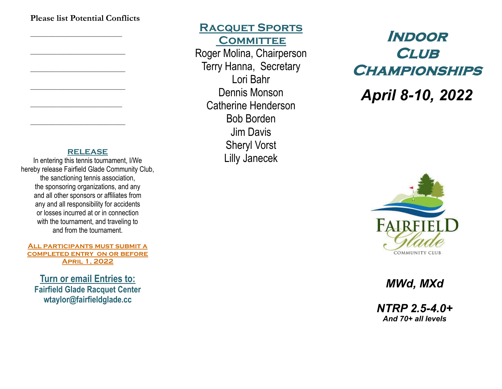#### **Please list Potential Conflicts**

*\_\_\_\_\_\_\_\_\_\_\_\_\_\_\_\_\_\_\_\_\_\_\_\_\_\_\_\_\_*

*\_\_\_\_\_\_\_\_\_\_\_\_\_\_\_\_\_\_\_\_\_\_\_\_\_\_\_\_\_\_*

*\_\_\_\_\_\_\_\_\_\_\_\_\_\_\_\_\_\_\_\_\_\_\_\_\_\_\_\_\_\_*

*\_\_\_\_\_\_\_\_\_\_\_\_\_\_\_\_\_\_\_\_\_\_\_\_\_\_\_\_\_\_*

*\_\_\_\_\_\_\_\_\_\_\_\_\_\_\_\_\_\_\_\_\_\_\_\_\_\_\_\_\_*

*\_\_\_\_\_\_\_\_\_\_\_\_\_\_\_\_\_\_\_\_\_\_\_\_\_\_\_\_\_\_*

#### **RELEASE**

In entering this tennis tournament, I/We hereby release Fairfield Glade Community Club, the sanctioning tennis association, the sponsoring organizations, and any and all other sponsors or affiliates from any and all responsibility for accidents or losses incurred at or in connection with the tournament, and traveling to and from the tournament.

**All participants must submit a completed entry on or before April 1, 2022**

**Turn or email Entries to: Fairfield Glade Racquet Center wtaylor@fairfieldglade.cc**

**Racquet Sports COMMITTEE** Roger Molina, Chairperson Terry Hanna, Secretary Lori Bahr Dennis Monson Catherine Henderson Bob Borden Jim Davis Sheryl Vorst Lilly Janecek

# **Indoor Club Championships**

*April 8-10, 2022*



*MWd, MXd*

*NTRP 2.5-4.0+ And 70+ all levels*